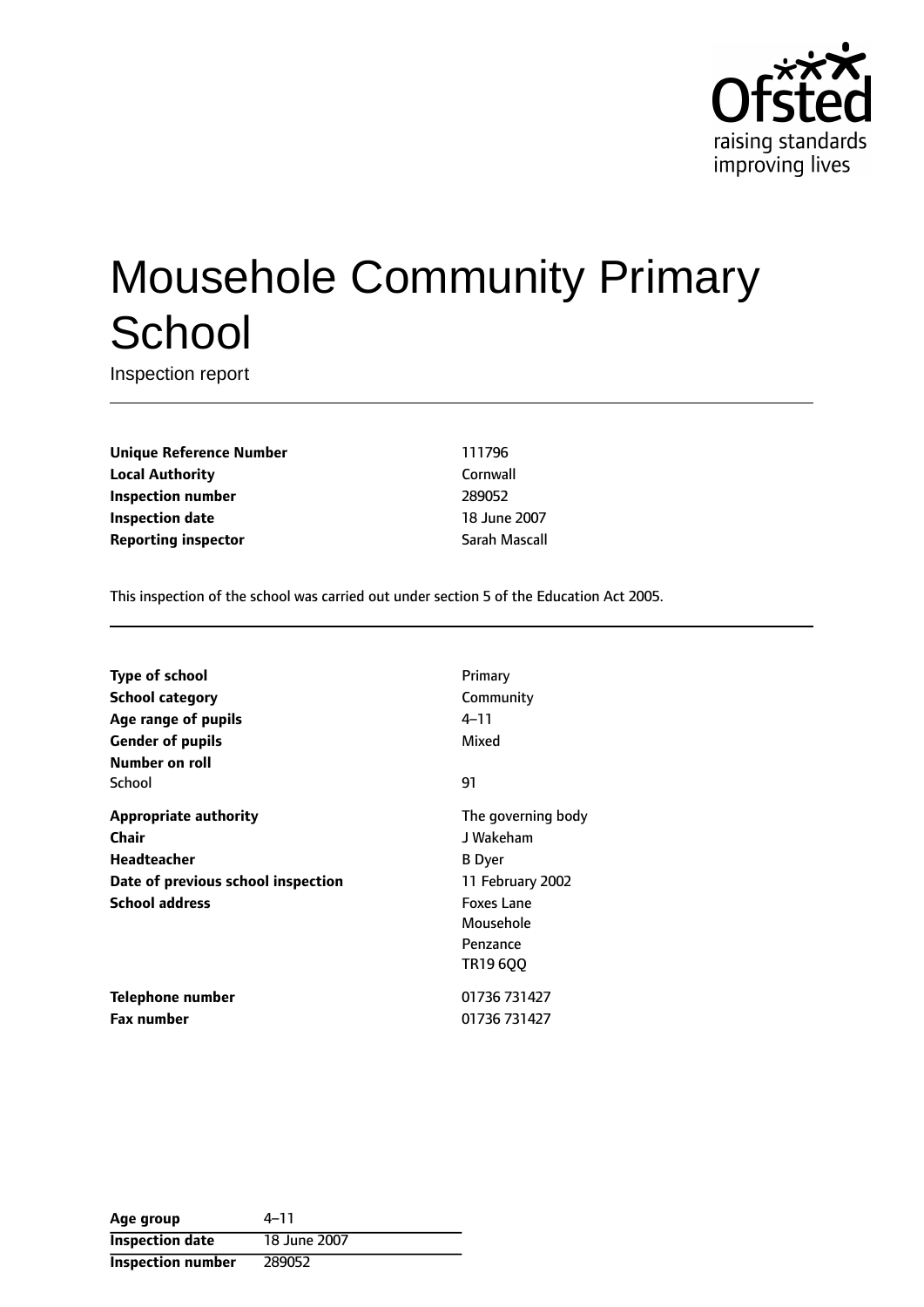

# Mousehole Community Primary **School**

Inspection report

**Unique Reference Number** 111796 **Local Authority** Cornwall **Inspection number** 289052 **Inspection date** 18 June 2007 **Reporting inspector** Sarah Mascall

This inspection of the school was carried out under section 5 of the Education Act 2005.

| <b>Type of school</b>              | Primary            |
|------------------------------------|--------------------|
| <b>School category</b>             | Community          |
| Age range of pupils                | 4–11               |
| <b>Gender of pupils</b>            | Mixed              |
| Number on roll                     |                    |
| School                             | 91                 |
| <b>Appropriate authority</b>       | The governing body |
| Chair                              | J Wakeham          |
| <b>Headteacher</b>                 | <b>B</b> Dyer      |
| Date of previous school inspection | 11 February 2002   |
| <b>School address</b>              | <b>Foxes Lane</b>  |
|                                    | Mousehole          |
|                                    | Penzance           |
|                                    | TR19 6QQ           |
| Telephone number                   | 01736 731427       |
| <b>Fax number</b>                  | 01736 731427       |

| Age group                | $4 - 11$     |
|--------------------------|--------------|
| <b>Inspection date</b>   | 18 June 2007 |
| <b>Inspection number</b> | 289052       |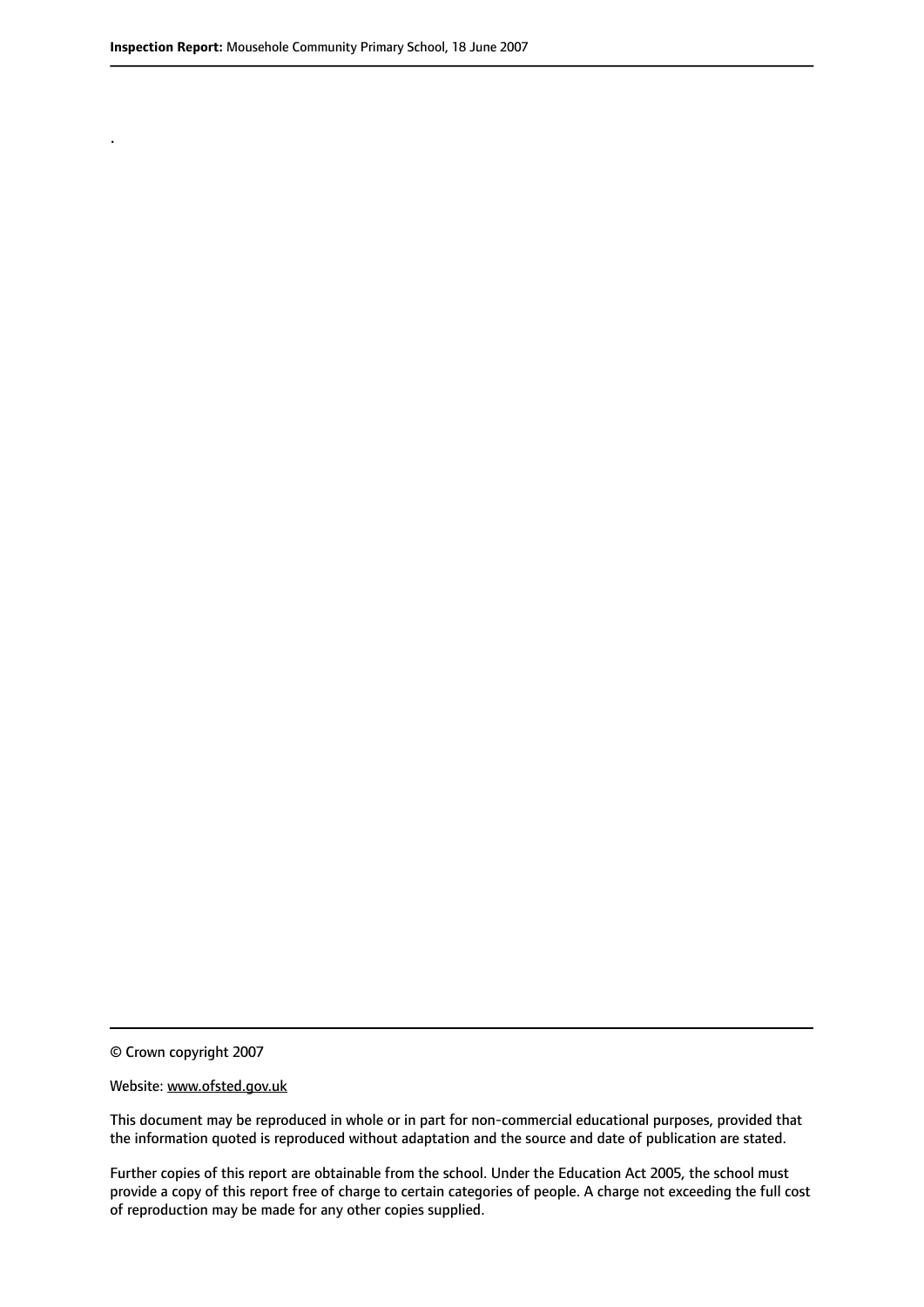.

© Crown copyright 2007

#### Website: www.ofsted.gov.uk

This document may be reproduced in whole or in part for non-commercial educational purposes, provided that the information quoted is reproduced without adaptation and the source and date of publication are stated.

Further copies of this report are obtainable from the school. Under the Education Act 2005, the school must provide a copy of this report free of charge to certain categories of people. A charge not exceeding the full cost of reproduction may be made for any other copies supplied.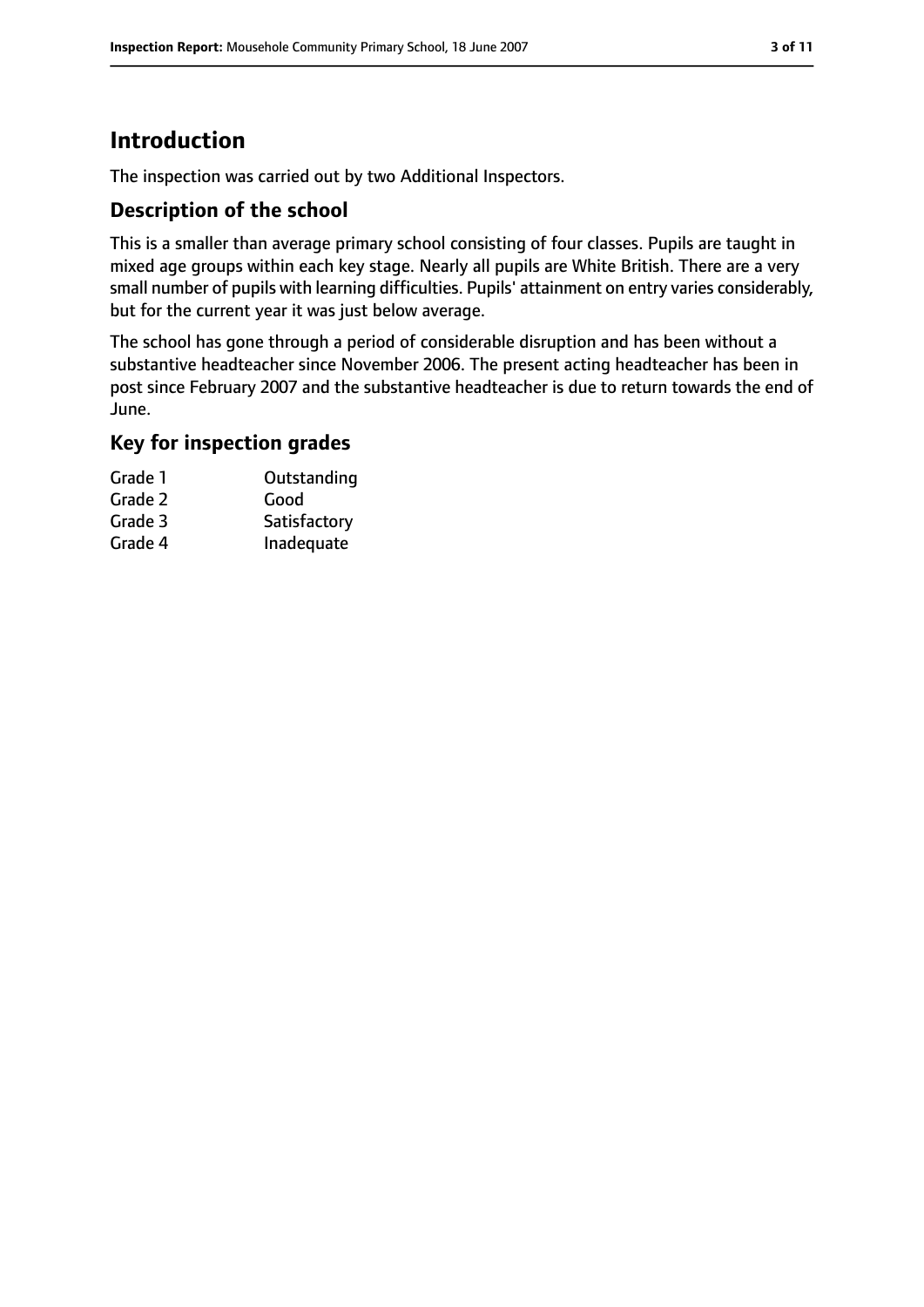# **Introduction**

The inspection was carried out by two Additional Inspectors.

## **Description of the school**

This is a smaller than average primary school consisting of four classes. Pupils are taught in mixed age groups within each key stage. Nearly all pupils are White British. There are a very small number of pupils with learning difficulties. Pupils' attainment on entry varies considerably, but for the current year it was just below average.

The school has gone through a period of considerable disruption and has been without a substantive headteacher since November 2006. The present acting headteacher has been in post since February 2007 and the substantive headteacher is due to return towards the end of June.

#### **Key for inspection grades**

| Outstanding  |
|--------------|
| Good         |
| Satisfactory |
| Inadequate   |
|              |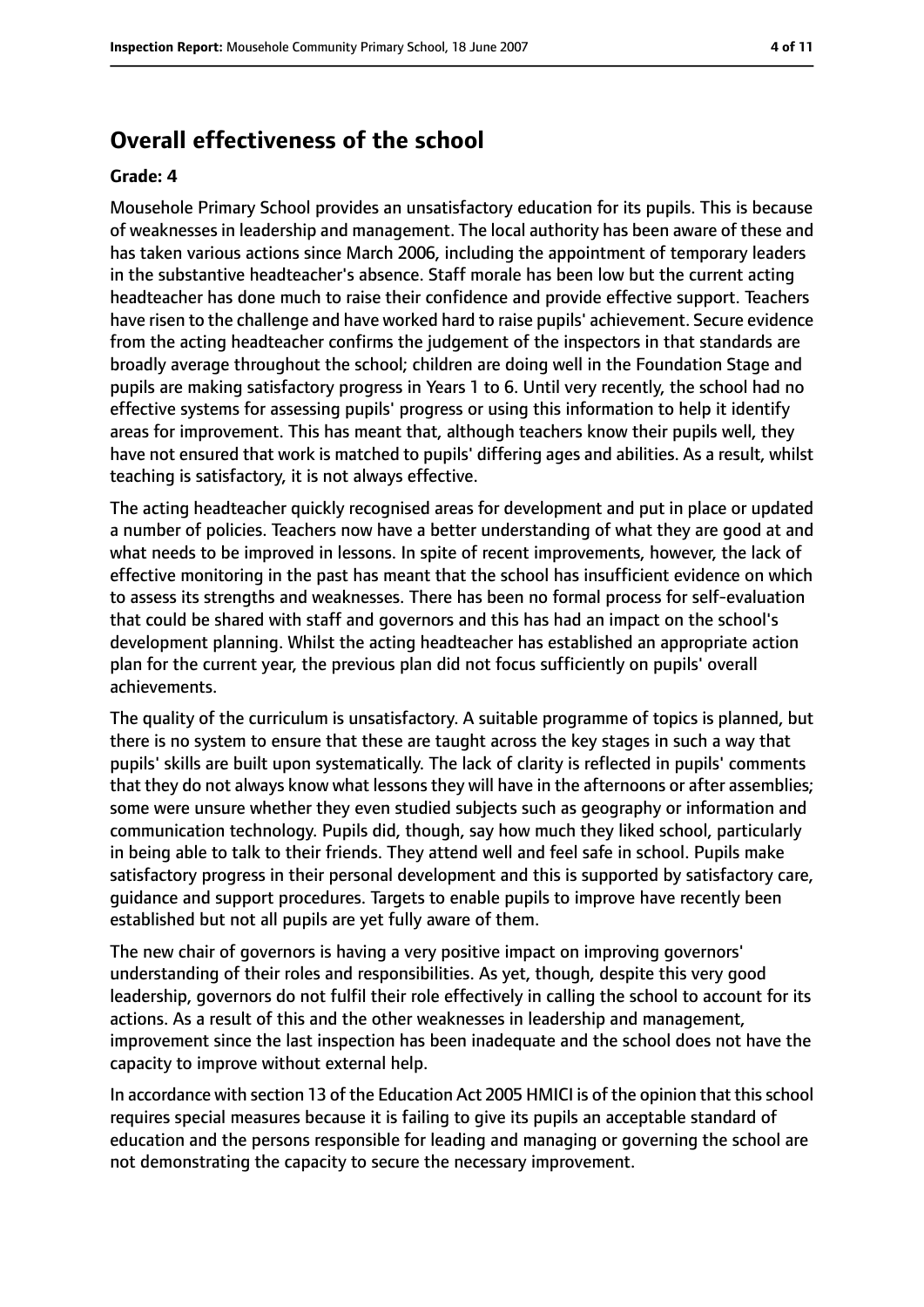## **Overall effectiveness of the school**

#### **Grade: 4**

Mousehole Primary School provides an unsatisfactory education for its pupils. This is because of weaknesses in leadership and management. The local authority has been aware of these and has taken various actions since March 2006, including the appointment of temporary leaders in the substantive headteacher's absence. Staff morale has been low but the current acting headteacher has done much to raise their confidence and provide effective support. Teachers have risen to the challenge and have worked hard to raise pupils' achievement. Secure evidence from the acting headteacher confirms the judgement of the inspectors in that standards are broadly average throughout the school; children are doing well in the Foundation Stage and pupils are making satisfactory progress in Years 1 to 6. Until very recently, the school had no effective systems for assessing pupils' progress or using this information to help it identify areas for improvement. This has meant that, although teachers know their pupils well, they have not ensured that work is matched to pupils' differing ages and abilities. As a result, whilst teaching is satisfactory, it is not always effective.

The acting headteacher quickly recognised areas for development and put in place or updated a number of policies. Teachers now have a better understanding of what they are good at and what needs to be improved in lessons. In spite of recent improvements, however, the lack of effective monitoring in the past has meant that the school has insufficient evidence on which to assess its strengths and weaknesses. There has been no formal process for self-evaluation that could be shared with staff and governors and this has had an impact on the school's development planning. Whilst the acting headteacher has established an appropriate action plan for the current year, the previous plan did not focus sufficiently on pupils' overall achievements.

The quality of the curriculum is unsatisfactory. A suitable programme of topics is planned, but there is no system to ensure that these are taught across the key stages in such a way that pupils' skills are built upon systematically. The lack of clarity is reflected in pupils' comments that they do not always know what lessons they will have in the afternoons or after assemblies; some were unsure whether they even studied subjects such as geography or information and communication technology. Pupils did, though, say how much they liked school, particularly in being able to talk to their friends. They attend well and feel safe in school. Pupils make satisfactory progress in their personal development and this is supported by satisfactory care, guidance and support procedures. Targets to enable pupils to improve have recently been established but not all pupils are yet fully aware of them.

The new chair of governors is having a very positive impact on improving governors' understanding of their roles and responsibilities. As yet, though, despite this very good leadership, governors do not fulfil their role effectively in calling the school to account for its actions. As a result of this and the other weaknesses in leadership and management, improvement since the last inspection has been inadequate and the school does not have the capacity to improve without external help.

In accordance with section 13 of the Education Act 2005 HMICI is of the opinion that this school requires special measures because it is failing to give its pupils an acceptable standard of education and the persons responsible for leading and managing or governing the school are not demonstrating the capacity to secure the necessary improvement.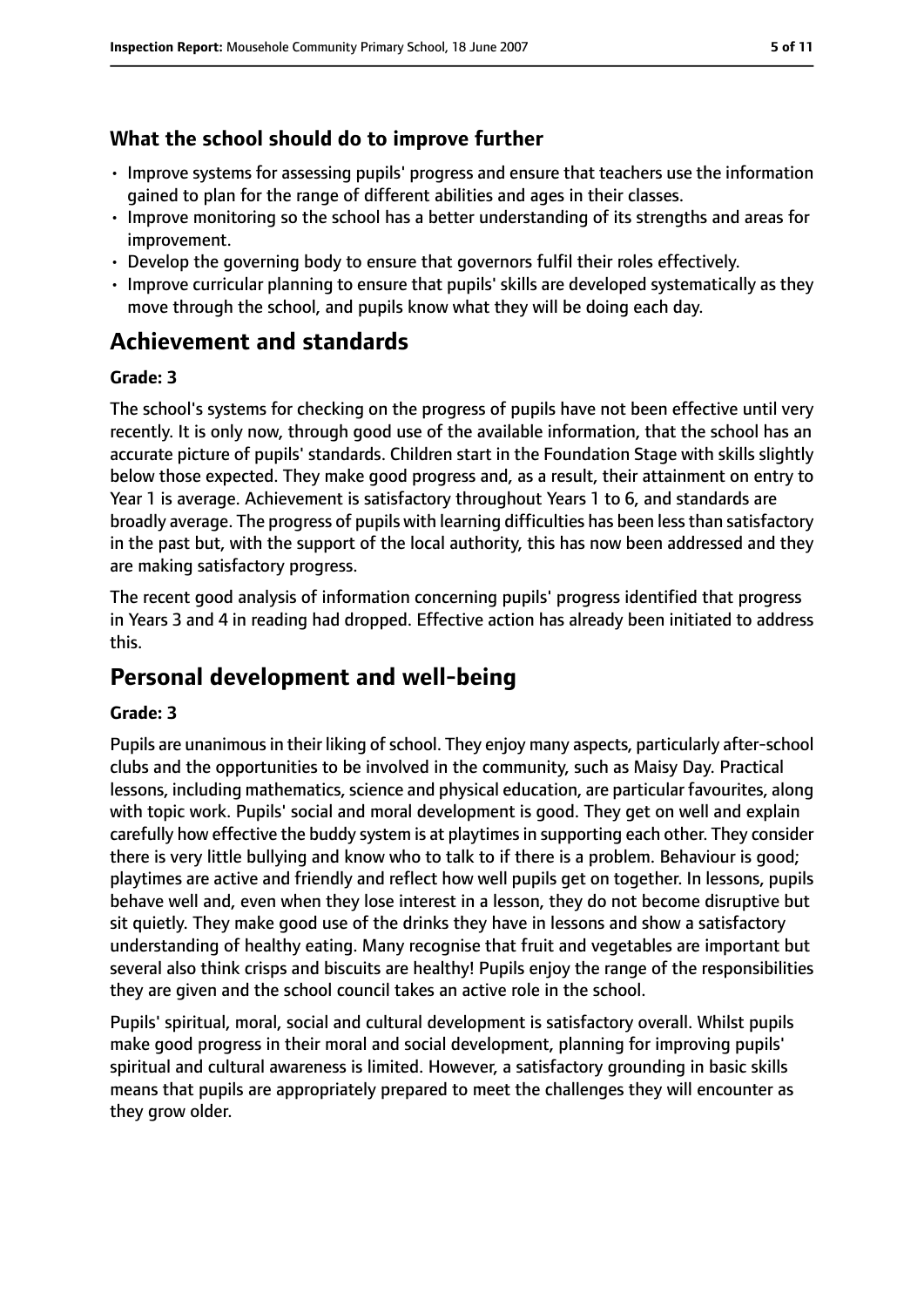## **What the school should do to improve further**

- Improve systems for assessing pupils' progress and ensure that teachers use the information gained to plan for the range of different abilities and ages in their classes.
- Improve monitoring so the school has a better understanding of its strengths and areas for improvement.
- Develop the governing body to ensure that governors fulfil their roles effectively.
- Improve curricular planning to ensure that pupils' skills are developed systematically as they move through the school, and pupils know what they will be doing each day.

# **Achievement and standards**

#### **Grade: 3**

The school's systems for checking on the progress of pupils have not been effective until very recently. It is only now, through good use of the available information, that the school has an accurate picture of pupils' standards. Children start in the Foundation Stage with skills slightly below those expected. They make good progress and, as a result, their attainment on entry to Year 1 is average. Achievement is satisfactory throughout Years 1 to 6, and standards are broadly average. The progress of pupils with learning difficulties has been lessthan satisfactory in the past but, with the support of the local authority, this has now been addressed and they are making satisfactory progress.

The recent good analysis of information concerning pupils' progress identified that progress in Years 3 and 4 in reading had dropped. Effective action has already been initiated to address this.

# **Personal development and well-being**

#### **Grade: 3**

Pupils are unanimous in their liking of school. They enjoy many aspects, particularly after-school clubs and the opportunities to be involved in the community, such as Maisy Day. Practical lessons, including mathematics, science and physical education, are particular favourites, along with topic work. Pupils' social and moral development is good. They get on well and explain carefully how effective the buddy system is at playtimes in supporting each other. They consider there is very little bullying and know who to talk to if there is a problem. Behaviour is good; playtimes are active and friendly and reflect how well pupils get on together. In lessons, pupils behave well and, even when they lose interest in a lesson, they do not become disruptive but sit quietly. They make good use of the drinks they have in lessons and show a satisfactory understanding of healthy eating. Many recognise that fruit and vegetables are important but several also think crisps and biscuits are healthy! Pupils enjoy the range of the responsibilities they are given and the school council takes an active role in the school.

Pupils' spiritual, moral, social and cultural development is satisfactory overall. Whilst pupils make good progress in their moral and social development, planning for improving pupils' spiritual and cultural awareness is limited. However, a satisfactory grounding in basic skills means that pupils are appropriately prepared to meet the challenges they will encounter as they grow older.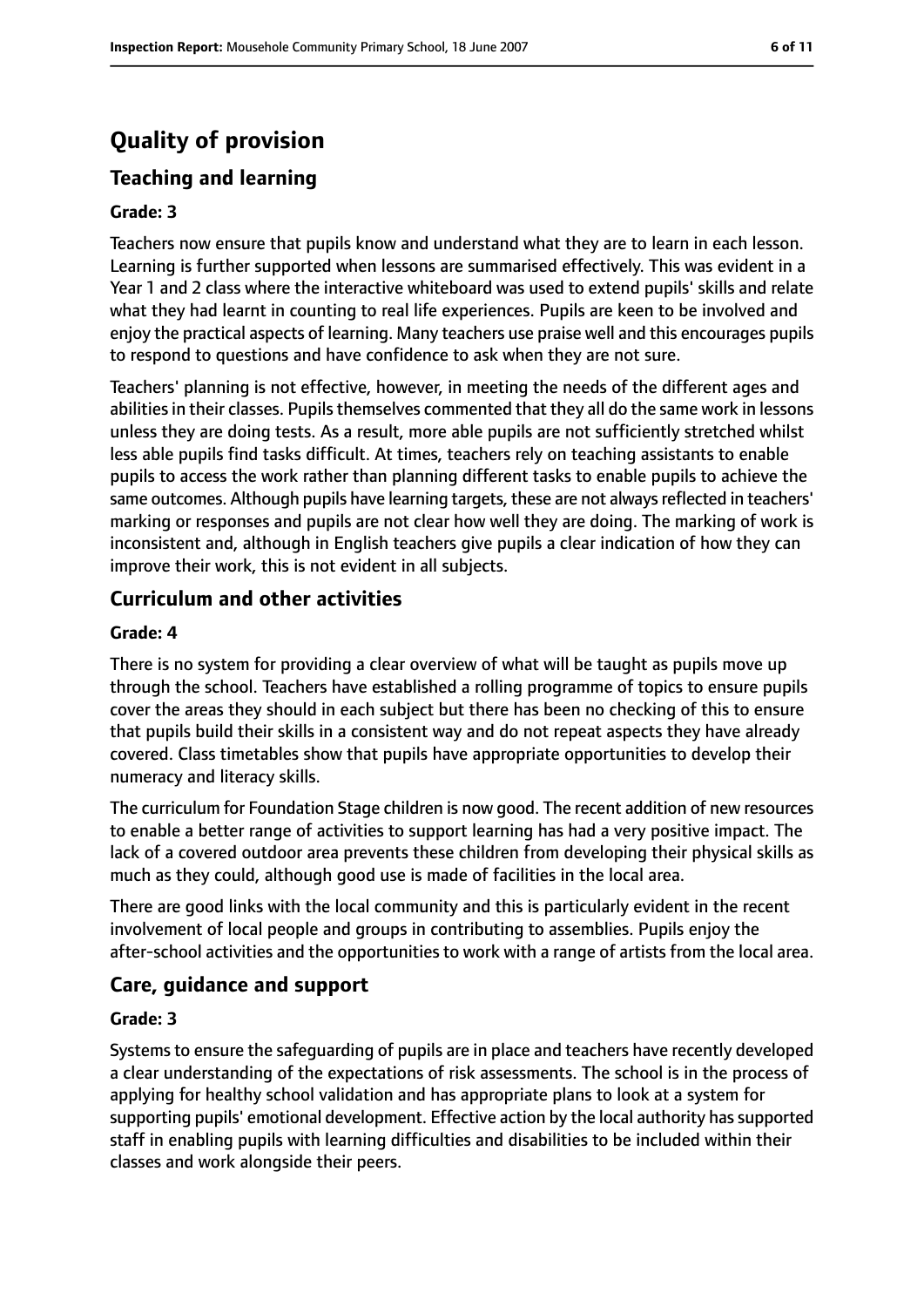# **Quality of provision**

# **Teaching and learning**

#### **Grade: 3**

Teachers now ensure that pupils know and understand what they are to learn in each lesson. Learning is further supported when lessons are summarised effectively. This was evident in a Year 1 and 2 class where the interactive whiteboard was used to extend pupils' skills and relate what they had learnt in counting to real life experiences. Pupils are keen to be involved and enjoy the practical aspects of learning. Many teachers use praise well and this encourages pupils to respond to questions and have confidence to ask when they are not sure.

Teachers' planning is not effective, however, in meeting the needs of the different ages and abilities in their classes. Pupils themselves commented that they all do the same work in lessons unless they are doing tests. As a result, more able pupils are not sufficiently stretched whilst less able pupils find tasks difficult. At times, teachers rely on teaching assistants to enable pupils to access the work rather than planning different tasks to enable pupils to achieve the same outcomes. Although pupils have learning targets, these are not always reflected in teachers' marking or responses and pupils are not clear how well they are doing. The marking of work is inconsistent and, although in English teachers give pupils a clear indication of how they can improve their work, this is not evident in all subjects.

#### **Curriculum and other activities**

#### **Grade: 4**

There is no system for providing a clear overview of what will be taught as pupils move up through the school. Teachers have established a rolling programme of topics to ensure pupils cover the areas they should in each subject but there has been no checking of this to ensure that pupils build their skills in a consistent way and do not repeat aspects they have already covered. Class timetables show that pupils have appropriate opportunities to develop their numeracy and literacy skills.

The curriculum for Foundation Stage children is now good. The recent addition of new resources to enable a better range of activities to support learning has had a very positive impact. The lack of a covered outdoor area prevents these children from developing their physical skills as much as they could, although good use is made of facilities in the local area.

There are good links with the local community and this is particularly evident in the recent involvement of local people and groups in contributing to assemblies. Pupils enjoy the after-school activities and the opportunities to work with a range of artists from the local area.

#### **Care, guidance and support**

#### **Grade: 3**

Systems to ensure the safeguarding of pupils are in place and teachers have recently developed a clear understanding of the expectations of risk assessments. The school is in the process of applying for healthy school validation and has appropriate plans to look at a system for supporting pupils' emotional development. Effective action by the local authority has supported staff in enabling pupils with learning difficulties and disabilities to be included within their classes and work alongside their peers.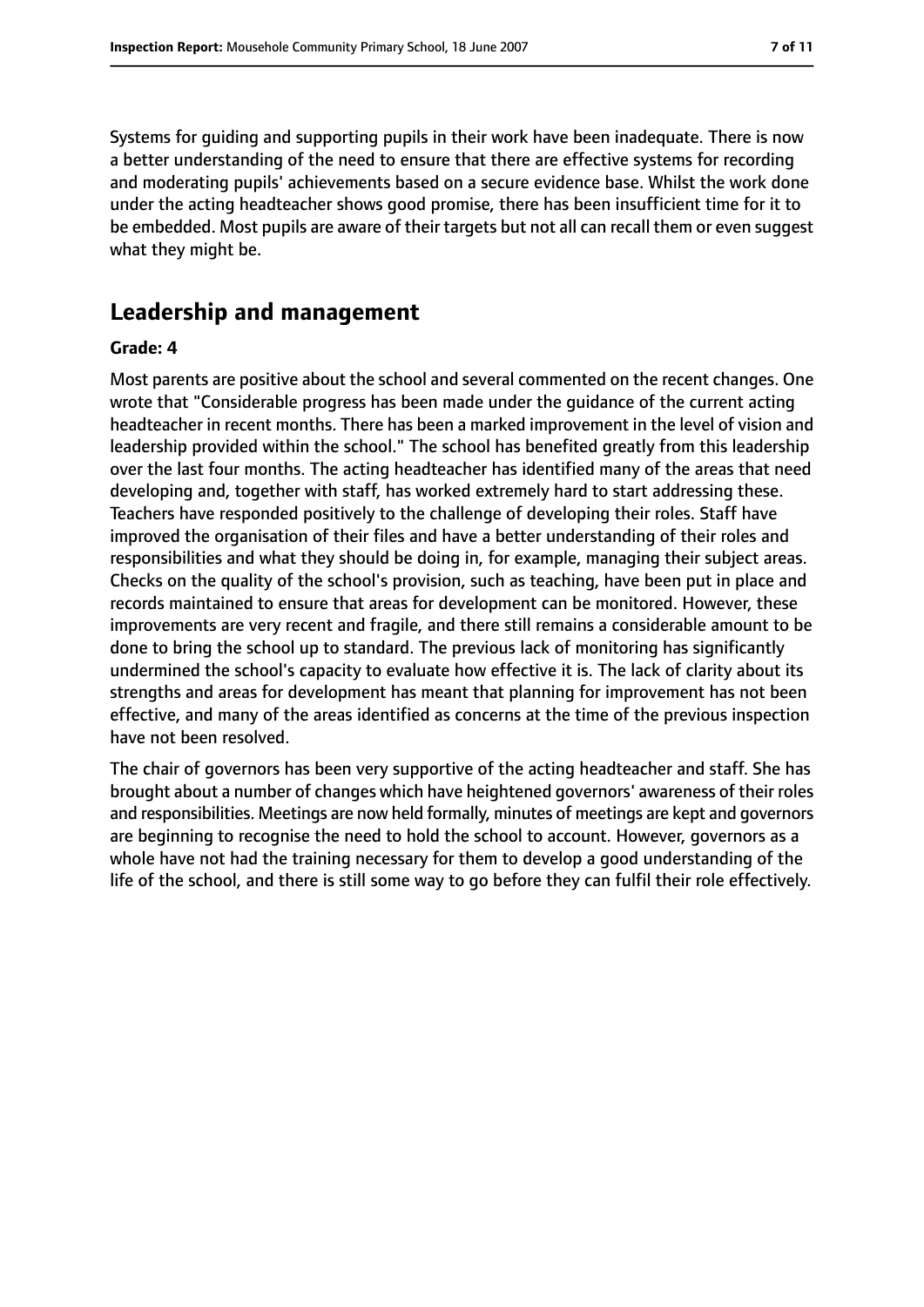Systems for guiding and supporting pupils in their work have been inadequate. There is now a better understanding of the need to ensure that there are effective systems for recording and moderating pupils' achievements based on a secure evidence base. Whilst the work done under the acting headteacher shows good promise, there has been insufficient time for it to be embedded. Most pupils are aware of their targets but not all can recall them or even suggest what they might be.

# **Leadership and management**

#### **Grade: 4**

Most parents are positive about the school and several commented on the recent changes. One wrote that "Considerable progress has been made under the guidance of the current acting headteacher in recent months. There has been a marked improvement in the level of vision and leadership provided within the school." The school has benefited greatly from this leadership over the last four months. The acting headteacher has identified many of the areas that need developing and, together with staff, has worked extremely hard to start addressing these. Teachers have responded positively to the challenge of developing their roles. Staff have improved the organisation of their files and have a better understanding of their roles and responsibilities and what they should be doing in, for example, managing their subject areas. Checks on the quality of the school's provision, such as teaching, have been put in place and records maintained to ensure that areas for development can be monitored. However, these improvements are very recent and fragile, and there still remains a considerable amount to be done to bring the school up to standard. The previous lack of monitoring has significantly undermined the school's capacity to evaluate how effective it is. The lack of clarity about its strengths and areas for development has meant that planning for improvement has not been effective, and many of the areas identified as concerns at the time of the previous inspection have not been resolved.

The chair of governors has been very supportive of the acting headteacher and staff. She has brought about a number of changes which have heightened governors' awareness of their roles and responsibilities. Meetings are now held formally, minutes of meetings are kept and governors are beginning to recognise the need to hold the school to account. However, governors as a whole have not had the training necessary for them to develop a good understanding of the life of the school, and there is still some way to go before they can fulfil their role effectively.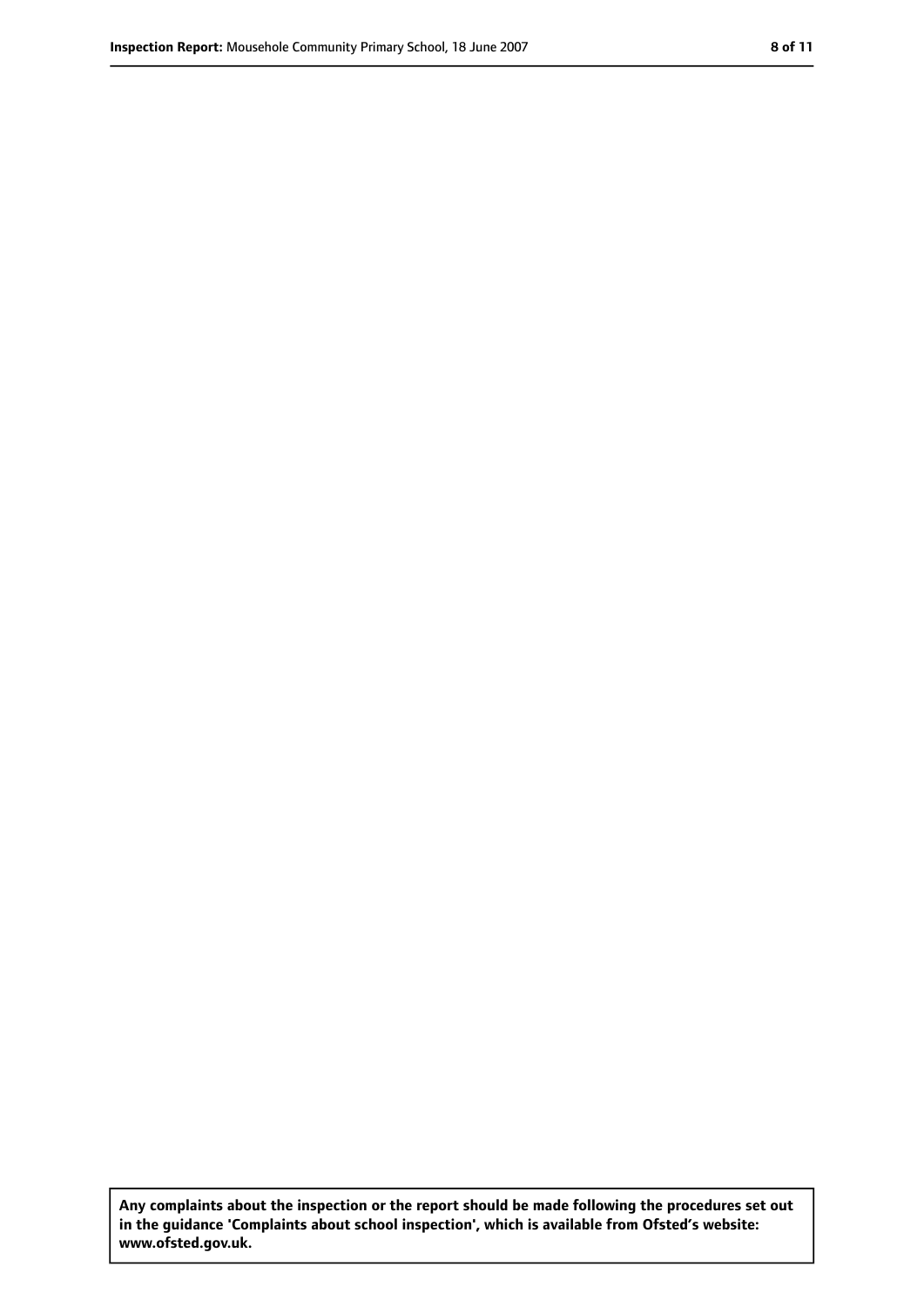**Any complaints about the inspection or the report should be made following the procedures set out in the guidance 'Complaints about school inspection', which is available from Ofsted's website: www.ofsted.gov.uk.**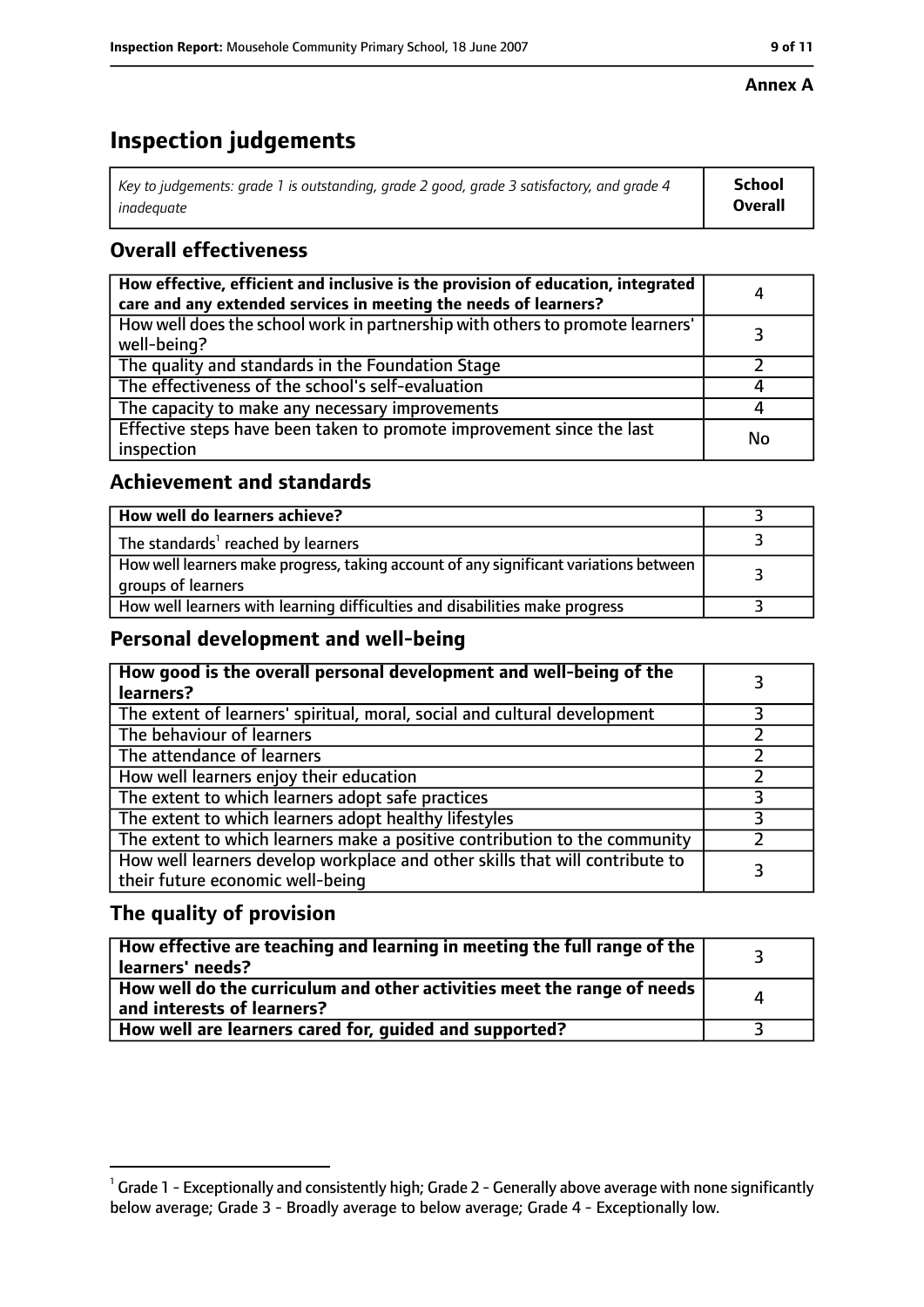#### **Annex A**

# **Inspection judgements**

| Key to judgements: grade 1 is outstanding, grade 2 good, grade 3 satisfactory, and grade 4 | <b>School</b>  |
|--------------------------------------------------------------------------------------------|----------------|
| inadeauate                                                                                 | <b>Overall</b> |

## **Overall effectiveness**

| How effective, efficient and inclusive is the provision of education, integrated<br>care and any extended services in meeting the needs of learners? | 4  |
|------------------------------------------------------------------------------------------------------------------------------------------------------|----|
| How well does the school work in partnership with others to promote learners'<br>well-being?                                                         |    |
| The quality and standards in the Foundation Stage                                                                                                    |    |
| The effectiveness of the school's self-evaluation                                                                                                    |    |
| The capacity to make any necessary improvements                                                                                                      |    |
| Effective steps have been taken to promote improvement since the last<br>inspection                                                                  | No |

## **Achievement and standards**

| How well do learners achieve?                                                                               |  |
|-------------------------------------------------------------------------------------------------------------|--|
| The standards <sup>1</sup> reached by learners                                                              |  |
| How well learners make progress, taking account of any significant variations between<br>groups of learners |  |
| How well learners with learning difficulties and disabilities make progress                                 |  |

## **Personal development and well-being**

| How good is the overall personal development and well-being of the<br>learners?                                  |  |
|------------------------------------------------------------------------------------------------------------------|--|
| The extent of learners' spiritual, moral, social and cultural development                                        |  |
| The behaviour of learners                                                                                        |  |
| The attendance of learners                                                                                       |  |
| How well learners enjoy their education                                                                          |  |
| The extent to which learners adopt safe practices                                                                |  |
| The extent to which learners adopt healthy lifestyles                                                            |  |
| The extent to which learners make a positive contribution to the community                                       |  |
| How well learners develop workplace and other skills that will contribute to<br>their future economic well-being |  |

## **The quality of provision**

| How effective are teaching and learning in meeting the full range of the<br>learners' needs?          |   |
|-------------------------------------------------------------------------------------------------------|---|
| How well do the curriculum and other activities meet the range of needs<br>and interests of learners? | Δ |
| How well are learners cared for, guided and supported?                                                |   |

 $^1$  Grade 1 - Exceptionally and consistently high; Grade 2 - Generally above average with none significantly below average; Grade 3 - Broadly average to below average; Grade 4 - Exceptionally low.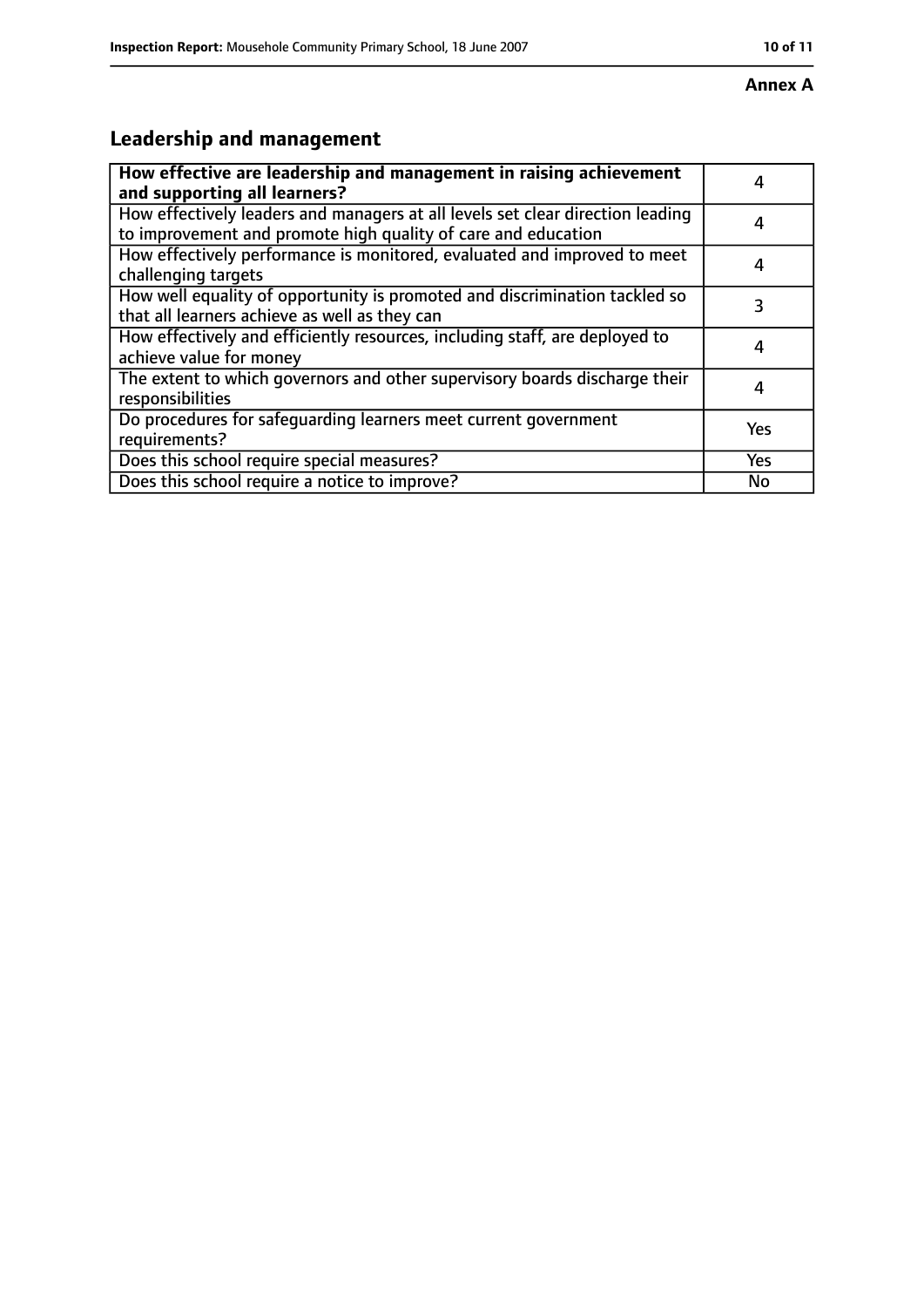#### **Annex A**

# **Leadership and management**

| How effective are leadership and management in raising achievement<br>and supporting all learners?                                              |            |
|-------------------------------------------------------------------------------------------------------------------------------------------------|------------|
| How effectively leaders and managers at all levels set clear direction leading<br>to improvement and promote high quality of care and education |            |
| How effectively performance is monitored, evaluated and improved to meet<br>challenging targets                                                 |            |
| How well equality of opportunity is promoted and discrimination tackled so<br>that all learners achieve as well as they can                     | 3          |
| How effectively and efficiently resources, including staff, are deployed to<br>achieve value for money                                          |            |
| The extent to which governors and other supervisory boards discharge their<br>responsibilities                                                  |            |
| Do procedures for safequarding learners meet current government<br>requirements?                                                                | Yes        |
| Does this school require special measures?                                                                                                      | <b>Yes</b> |
| Does this school require a notice to improve?                                                                                                   | No         |